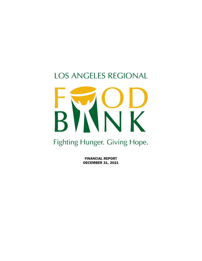# **LOS ANGELES REGIONAL**



Fighting Hunger. Giving Hope.

FINANCIAL REPORT DECEMBER 31, 2021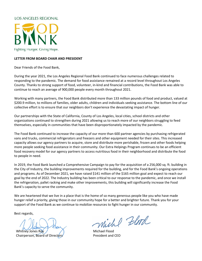#### **LOS ANGELES REGIONAL**



#### **LETTER FROM BOARD CHAIR AND PRESIDENT**

Dear Friends of the Food Bank,

During the year 2021, the Los Angeles Regional Food Bank continued to face numerous challenges related to responding to the pandemic. The demand for food assistance remained at a record level throughout Los Angeles County. Thanks to strong support of food, volunteer, in-kind and financial contributions, the Food Bank was able to continue to reach an average of 900,000 people every month throughout 2021.

Working with many partners, the Food Bank distributed more than 133 million pounds of food and product, valued at \$200.9 million, to millions of families, older adults, children and individuals seeking assistance. The bottom line of our collective effort is to ensure that our neighbors don't experience the devastating impact of hunger.

Our partnerships with the State of California, County of Los Angeles, local cities, school districts and other organizations continued to strengthen during 2021 allowing us to reach more of our neighbors struggling to feed themselves, especially in communities that have been disproportionately impacted by the pandemic.

The Food Bank continued to increase the capacity of our more than 600 partner agencies by purchasing refrigerated vans and trucks, commercial refrigerators and freezers and other equipment needed for their sites. This increased capacity allows our agency partners to acquire, store and distribute more perishable, frozen and other foods helping more people seeking food assistance in their community. Our Extra Helpings Program continues to be an efficient food recovery model for our agency partners to access nutritious food in their neighborhood and distribute the food to people in need.

In 2019, the Food Bank launched a Comprehensive Campaign to pay for the acquisition of a 256,000 sq. ft. building in the City of Industry, the building improvements required for the building, and for the Food Bank's ongoing operations and programs. As of December 2021, we have raised \$141 million of the \$165 million goal and expect to reach our goal by the end of 2022. The Industry building has been critical to our response to the pandemic, and once we install the refrigeration, pallet racking and make other improvements, this building will significantly increase the Food Bank's capacity to serve the community.

We are heartened that we live in a place that is the home of so many generous people like you who have made hunger relief a priority, giving those in our community hope for a better and brighter future. Thank you for your support of the Food Bank as we continue to mobilize resources to fight hunger in our community.

Best regards,

Whitney Jones Roy Chairperson, Board of Directors

miche Flood

Michael Flood President and CEO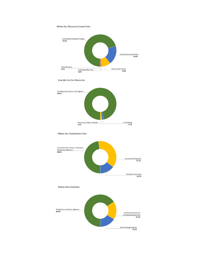#### Where Our Resources Comes From



How We Use Our Resources



Where Our Food Comes From



Where Our Food Goes

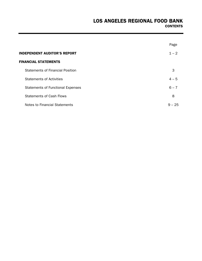|                                          | Page     |
|------------------------------------------|----------|
| <b>INDEPENDENT AUDITOR'S REPORT</b>      | $1 - 2$  |
| <b>FINANCIAL STATEMENTS</b>              |          |
| <b>Statements of Financial Position</b>  | 3        |
| <b>Statements of Activities</b>          | $4 - 5$  |
| <b>Statements of Functional Expenses</b> | $6 - 7$  |
| <b>Statements of Cash Flows</b>          | 8        |
| Notes to Financial Statements            | $9 - 25$ |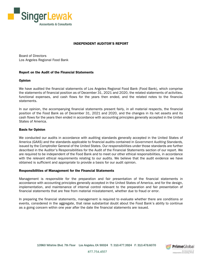

#### INDEPENDENT AUDITOR'S REPORT

Board of Directors Los Angeles Regional Food Bank

#### Report on the Audit of the Financial Statements

#### **Opinion**

We have audited the financial statements of Los Angeles Regional Food Bank (Food Bank), which comprise the statements of financial position as of December 31, 2021 and 2020, the related statements of activities, functional expenses, and cash flows for the years then ended, and the related notes to the financial statements.

In our opinion, the accompanying financial statements present fairly, in all material respects, the financial position of the Food Bank as of December 31, 2021 and 2020, and the changes in its net assets and its cash flows for the years then ended in accordance with accounting principles generally accepted in the United States of America.

#### Basis for Opinion

We conducted our audits in accordance with auditing standards generally accepted in the United States of America (GAAS) and the standards applicable to financial audits contained in *Government Auditing Standards,* issued by the Comptroller General of the United States. Our responsibilities under those standards are further described in the Auditor's Responsibilities for the Audit of the Financial Statements section of our report. We are required to be independent of the Food Bank and to meet our other ethical responsibilities, in accordance with the relevant ethical requirements relating to our audits. We believe that the audit evidence we have obtained is sufficient and appropriate to provide a basis for our audit opinion.

#### Responsibilities of Management for the Financial Statements

Management is responsible for the preparation and fair presentation of the financial statements in accordance with accounting principles generally accepted in the United States of America, and for the design, implementation, and maintenance of internal control relevant to the preparation and fair presentation of financial statements that are free from material misstatement, whether due to fraud or error.

In preparing the financial statements, management is required to evaluate whether there are conditions or events, considered in the aggregate, that raise substantial doubt about the Food Bank's ability to continue as a going concern within one year after the date the financial statements are issued.

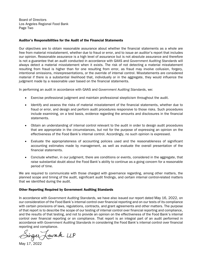Board of Directors Los Angeles Regional Food Bank Page Two

#### Auditor's Responsibilities for the Audit of the Financial Statements

Our objectives are to obtain reasonable assurance about whether the financial statements as a whole are free from material misstatement, whether due to fraud or error, and to issue an auditor's report that includes our opinion. Reasonable assurance is a high level of assurance but is not absolute assurance and therefore is not a guarantee that an audit conducted in accordance with GAAS and *Government Auditing Standards* will always detect a material misstatement when it exists. The risk of not detecting a material misstatement resulting from fraud is higher than for one resulting from error, as fraud may involve collusion, forgery, intentional omissions, misrepresentations, or the override of internal control. Misstatements are considered material if there is a substantial likelihood that, individually or in the aggregate, they would influence the judgment made by a reasonable user based on the financial statements.

In performing an audit in accordance with GAAS and *Government Auditing Standards*, we:

- Exercise professional judgment and maintain professional skepticism throughout the audit.
- Identify and assess the risks of material misstatement of the financial statements, whether due to fraud or error, and design and perform audit procedures responsive to those risks. Such procedures include examining, on a test basis, evidence regarding the amounts and disclosures in the financial statements.
- Obtain an understanding of internal control relevant to the audit in order to design audit procedures that are appropriate in the circumstances, but not for the purpose of expressing an opinion on the effectiveness of the Food Bank's internal control. Accordingly, no such opinion is expressed.
- Evaluate the appropriateness of accounting policies used and the reasonableness of significant accounting estimates made by management, as well as evaluate the overall presentation of the financial statements.
- Conclude whether, in our judgment, there are conditions or events, considered in the aggregate, that raise substantial doubt about the Food Bank's ability to continue as a going concern for a reasonable period of time.

We are required to communicate with those charged with governance regarding, among other matters, the planned scope and timing of the audit, significant audit findings, and certain internal control-related matters that we identified during the audit.

#### Other Reporting Required by Government Auditing Standards

In accordance with *Government Auditing Standards*, we have also issued our report dated May 16, 2022, on our consideration of the Food Bank's internal control over financial reporting and on our tests of its compliance with certain provisions of laws, regulations, contracts, and grant agreements and other matters. The purpose of that report is to describe the scope of our testing of internal control over financial reporting and compliance, and the results of that testing, and not to provide an opinion on the effectiveness of the Food Bank's internal control over financial reporting or on compliance. That report is an integral part of an audit performed in accordance with *Government Auditing Standards* in considering the Food Bank's internal control over financial reporting and compliance.

Lewak LLP

May 17, 2022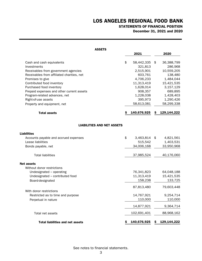## STATEMENTS OF FINANCIAL POSITION

December 31, 2021 and 2020

| <b>ASSETS</b>                              |    |             |    |             |
|--------------------------------------------|----|-------------|----|-------------|
|                                            |    | 2021        |    | 2020        |
| Cash and cash equivalents                  | \$ | 58,442,335  | \$ | 36,388,799  |
| Investments                                |    | 321,813     |    | 286,968     |
| Receivables from government agencies       |    | 2,515,901   |    | 10,559,205  |
| Receivables from affiliated charities, net |    | 603,761     |    | 138,480     |
| Promises to give                           |    | 4,706,233   |    | 1,484,044   |
| Contributed food inventory                 |    | 11,313,419  |    | 15,421,535  |
| Purchased food inventory                   |    | 1,628,014   |    | 3,157,129   |
| Prepaid expenses and other current assets  |    | 908,357     |    | 689,895     |
| Program-related advances, net              |    | 1,228,038   |    | 1,428,403   |
| Right-of-use assets                        |    | 395,973     |    | 1,290,426   |
| Property and equipment, net                |    | 58,613,081  |    | 58,299,338  |
| <b>Total assets</b>                        | s  | 140,676,925 | Ş  | 129,144,222 |
| <b>LIABILITIES AND NET ASSETS</b>          |    |             |    |             |
| <b>Liabilities</b>                         |    |             |    |             |
| Accounts payable and accrued expenses      | \$ | 3,463,814   | \$ | 4,821,561   |
| Lease liabilities                          |    | 515,542     |    | 1,403,531   |
| Bonds payable, net                         |    | 34,006,168  |    | 33,950,968  |
| <b>Total liabilities</b>                   |    | 37,985,524  |    | 40,176,060  |
| <b>Net assets</b>                          |    |             |    |             |
| Without donor restrictions                 |    |             |    |             |
| Undesignated - operating                   |    | 76,341,823  |    | 64,048,188  |
| Undesignated - contributed food            |    | 11,313,419  |    | 15,421,535  |
| Board-designated                           |    | 158,238     |    | 133,725     |
|                                            |    | 87,813,480  |    | 79,603,448  |
| With donor restrictions                    |    |             |    |             |
| Restricted as to time and purpose          |    | 14,767,921  |    | 9,254,714   |
| Perpetual in nature                        |    | 110,000     |    | 110,000     |
|                                            |    | 14,877,921  |    | 9,364,714   |
| Total net assets                           |    | 102,691,401 |    | 88,968,162  |
| <b>Total liabilities and net assets</b>    | \$ | 140,676,925 | \$ | 129,144,222 |

See notes to financial statements.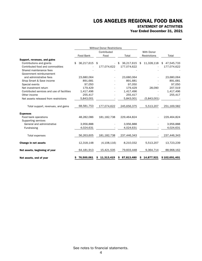### STATEMENT OF ACTIVITIES

Year Ended December 31, 2021

|                                            |    |            | <b>Without Donor Restrictions</b> |                  |    |                   |                  |
|--------------------------------------------|----|------------|-----------------------------------|------------------|----|-------------------|------------------|
|                                            |    |            | Contributed                       |                  |    | <b>With Donor</b> |                  |
|                                            |    | Food Bank  | Food                              | Total            |    | Restrictions      | Total            |
| Support, revenues, and gains               |    |            |                                   |                  |    |                   |                  |
| Contributions and grants                   | \$ | 36,217,615 | -\$                               | 36,217,615<br>\$ | \$ | 11,328,118        | 47,545,733<br>\$ |
| Contributed food and commodities           |    |            | 177,074,622                       | 177,074,622      |    |                   | 177,074,622      |
| Shared maintenance fees                    |    |            |                                   |                  |    |                   |                  |
| Government reimbursement                   |    |            |                                   |                  |    |                   |                  |
| and administrative fees                    |    | 23,680,064 |                                   | 23,680,064       |    |                   | 23,680,064       |
| Shop Smart & Save income                   |    | 891,681    |                                   | 891,681          |    |                   | 891,681          |
| Special events                             |    | 97.050     |                                   | 97.050           |    |                   | 97,050           |
| Net investment return                      |    | 179,429    |                                   | 179,429          |    | 28,090            | 207,519          |
| Contributed services and use of facilities |    | 1,417,496  |                                   | 1,417,496        |    |                   | 1,417,496        |
| Other income                               |    | 255,417    |                                   | 255,417          |    |                   | 255,417          |
| Net assets released from restrictions      |    | 5,843,001  |                                   | 5,843,001        |    | (5,843,001)       |                  |
| Total support, revenues, and gains         |    | 68,581,753 | 177,074,622                       | 245,656,375      |    | 5,513,207         | 251,169,582      |
| <b>Expenses</b>                            |    |            |                                   |                  |    |                   |                  |
| Food bank operations                       |    | 48,282,086 | 181, 182, 738                     | 229,464,824      |    |                   | 229,464,824      |
| Supporting services                        |    |            |                                   |                  |    |                   |                  |
| General and administrative                 |    | 3,956,888  |                                   | 3,956,888        |    |                   | 3,956,888        |
| Fundraising                                |    | 4,024,631  |                                   | 4,024,631        |    |                   | 4,024,631        |
| Total expenses                             |    | 56,263,605 | 181, 182, 738                     | 237,446,343      |    |                   | 237,446,343      |
| <b>Change in net assets</b>                |    | 12,318,148 | (4, 108, 116)                     | 8,210,032        |    | 5,513,207         | 13,723,239       |
| Net assets, beginning of year              |    | 64,181,913 | 15,421,535                        | 79,603,448       |    | 9,364,714         | 88,968,162       |
| Net assets, end of year                    | s  | 76,500,061 | \$11,313,419                      | 87,813,480<br>s  | s  | 14,877,921        | \$102,691,401    |

See notes to financial statements.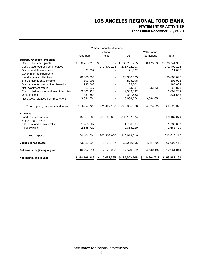### STATEMENT OF ACTIVITIES

Year Ended December 31, 2020

|                                                   | <b>Without Donor Restrictions</b> |                 |                 |                   |                  |
|---------------------------------------------------|-----------------------------------|-----------------|-----------------|-------------------|------------------|
|                                                   |                                   | Contributed     |                 | <b>With Donor</b> |                  |
|                                                   | Food Bank                         | Food            | Total           | Restrictions      | Total            |
| Support, revenues, and gains                      |                                   |                 |                 |                   |                  |
| Contributions and grants                          | 68,265,715 \$<br>\$               |                 | 68,265,715      | 8,475,638<br>\$   | 76,741,353<br>\$ |
| Contributed food and commodities                  |                                   | 271,402,103     | 271,402,103     |                   | 271,402,103      |
| Shared maintenance fees                           | 21,037                            |                 | 21,037          |                   | 21,037           |
| Government reimbursement                          |                                   |                 |                 |                   |                  |
| and administrative fees                           | 28,886,095                        |                 | 28,886,095      |                   | 28,886,095       |
| Shop Smart & Save income                          | 893,998                           |                 | 893,998         |                   | 893,998          |
| Special events, net of direct benefits            | 185,062                           |                 | 185,062         |                   | 185,062          |
| Net investment return                             | 23,337                            |                 | 23,337          | 33,538            | 56,875           |
| Contributed services and use of facilities        | 2,002,222                         |                 | 2,002,222       |                   | 2,002,222        |
| Other income                                      | 331,583                           |                 | 331,583         |                   | 331,583          |
| Net assets released from restrictions             | 3,684,654                         |                 | 3,684,654       | (3,684,654)       |                  |
| Total support, revenues, and gains                | 104,293,703                       | 271,402,103     | 375,695,806     | 4,824,522         | 380,520,328      |
| <b>Expenses</b>                                   |                                   |                 |                 |                   |                  |
| Food bank operations                              | 45,959,268                        | 263,208,606     | 309,167,874     |                   | 309,167,874      |
| Supporting services<br>General and administrative | 1,786,607                         |                 | 1,786,607       |                   | 1,786,607        |
| Fundraising                                       | 2,658,729                         |                 | 2,658,729       |                   | 2,658,729        |
|                                                   |                                   |                 |                 |                   |                  |
| <b>Total expenses</b>                             | 50,404,604                        | 263,208,606     | 313,613,210     |                   | 313,613,210      |
| Change in net assets                              | 53,889,099                        | 8,193,497       | 62,082,596      | 4,824,522         | 66,907,118       |
| Net assets, beginning of year                     | 10,292,814                        | 7,228,038       | 17,520,852      | 4,540,192         | 22,061,044       |
| Net assets, end of year                           | 64,181,913<br>s                   | 15,421,535<br>s | 79,603,448<br>s | 9,364,714<br>s    | 88,968,162<br>s  |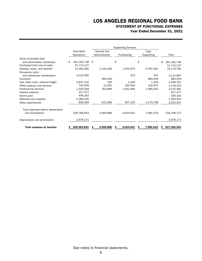### STATEMENT OF FUNCTIONAL EXPENSES

Year Ended December 31, 2021

|                                    | <b>Supporting Services</b> |             |    |                |    |             |    |            |   |             |
|------------------------------------|----------------------------|-------------|----|----------------|----|-------------|----|------------|---|-------------|
|                                    |                            | Food Bank   |    | General and    |    |             |    | Total      |   |             |
|                                    |                            | Operations  |    | Administrative |    | Fundraising |    | Supporting |   | Total       |
| Value of donated food              |                            |             |    |                |    |             |    |            |   |             |
| and commodities distributed        | \$                         | 181,182,738 | \$ |                | \$ |             | \$ |            |   | 181,182,738 |
| Purchased food cost of sales       |                            | 21,713,137  |    |                |    |             |    |            |   | 21,713,137  |
| Salaries, taxes, and benefits      |                            | 12,392,585  |    | 2,233,326      |    | 1,553,874   |    | 3,787,200  |   | 16,179,785  |
| Occupancy costs                    |                            |             |    |                |    |             |    |            |   |             |
| and warehouse maintenance          |                            | 3,212,582   |    |                |    | 315         |    | 315        |   | 3,212,897   |
| Insurance                          |                            |             |    | 684,509        |    |             |    | 684,509    |   | 684,509     |
| Fuel, fleet costs, inbound freight |                            | 2,637,232   |    | 320            |    | 1,209       |    | 1,529      |   | 2,638,761   |
| Office expense and services        |                            | 745,558     |    | 12,281         |    | 320,594     |    | 332,875    |   | 1,078,433   |
| Professional services              |                            | 1,320,028   |    | 353,869        |    | 1,641,484   |    | 1,995,353  |   | 3,315,381   |
| Interest expense                   |                            | 917,477     |    |                |    |             |    |            |   | 917,477     |
| Grants paid                        |                            | 446,342     |    |                |    |             |    |            |   | 446,342     |
| Materials and supplies             |                            | 1,383,405   |    |                |    |             |    |            |   | 1,383,405   |
| Other expenditures                 |                            | 835,569     |    | 672,583        |    | 507,155     |    | 1,179,738  |   | 2,015,307   |
| Total expenses before depreciation |                            |             |    |                |    |             |    |            |   |             |
| and amortization                   |                            | 226,786,653 |    | 3,956,888      |    | 4,024,631   |    | 7,981,519  |   | 234,768,172 |
| Depreciation and amortization      |                            | 2,678,171   |    |                |    |             |    |            |   | 2,678,171   |
| <b>Total expenses by function</b>  | s                          | 229,464,824 | s  | 3,956,888      | \$ | 4,024,631   | s  | 7,981,519  | s | 237,446,343 |

See notes to financial statements.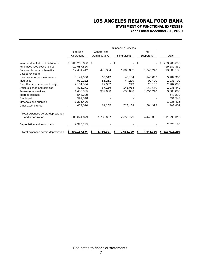### STATEMENT OF FUNCTIONAL EXPENSES

Year Ended December 31, 2020

|                                    | Food Bank<br>Operations | General and<br>Administrative | Fundraising    | Total<br>Supporting | Totals             |
|------------------------------------|-------------------------|-------------------------------|----------------|---------------------|--------------------|
| Value of donated food distributed  | 263,208,606             | \$                            | \$             | \$                  | 263,208,606<br>\$. |
| Purchased food cost of sales       | 19,687,850              |                               |                |                     | 19,687,850         |
| Salaries, taxes, and benefits      | 12,434,412              | 478,884                       | 1,069,892      | 1,548,776           | 13,983,188         |
| Occupancy costs                    |                         |                               |                |                     |                    |
| and warehouse maintenance          | 3,141,330               | 103,519                       | 40,134         | 143,653             | 3,284,983          |
| Insurance                          | 932,232                 | 55,261                        | 44,209         | 99,470              | 1,031,702          |
| Fuel, fleet costs, inbound freight | 2,184,594               | 22,862                        | 243            | 23,105              | 2,207,699          |
| Office expense and services        | 826,271                 | 67,136                        | 145,033        | 212,169             | 1,038,440          |
| Professional services              | 1,435,095               | 997,680                       | 636,090        | 1,633,770           | 3,068,865          |
| Interest expense                   | 543,299                 |                               |                |                     | 543,299            |
| Grants paid                        | 591,548                 |                               |                |                     | 591,548            |
| Materials and supplies             | 1,235,426               |                               |                |                     | 1,235,426          |
| Other expenditures                 | 624,016                 | 61,265                        | 723,128        | 784,393             | 1,408,409          |
| Total expenses before depreciation |                         |                               |                |                     |                    |
| and amortization                   | 306,844,679             | 1,786,607                     | 2,658,729      | 4,445,336           | 311,290,015        |
| Depreciation and amortization      | 2,323,195               |                               |                |                     | 2,323,195          |
| Total expenses before depreciation | 309,167,874             | 1,786,607<br>s                | 2,658,729<br>s | 4,445,336<br>Ş      | 313,613,210<br>s   |

See notes to financial statements.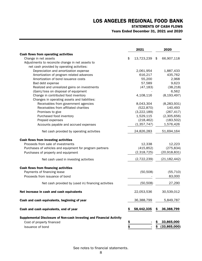### STATEMENTS OF CASH FLOWS

Years Ended December 31, 2021 and 2020

|                                                                                                                                                                                     |           | 2021                                |     | 2020                                   |
|-------------------------------------------------------------------------------------------------------------------------------------------------------------------------------------|-----------|-------------------------------------|-----|----------------------------------------|
| <b>Cash flows from operating activities</b>                                                                                                                                         |           |                                     |     |                                        |
| Change in net assets                                                                                                                                                                | \$        | 13,723,239                          | \$  | 66,907,118                             |
| Adjustments to reconcile change in net assets to                                                                                                                                    |           |                                     |     |                                        |
| net cash provided by operating activities:                                                                                                                                          |           |                                     |     |                                        |
| Depreciation and amortization expense                                                                                                                                               |           | 2,061,954                           |     | 1,887,433                              |
| Amortization of program related advances                                                                                                                                            |           | 616,217                             |     | 435,762                                |
| Amortization of bond issuance costs                                                                                                                                                 |           | 55,200                              |     | 2,968                                  |
| Bad debt expense                                                                                                                                                                    |           | 57,589                              |     | 9,623                                  |
| Realized and unrealized gains on investments                                                                                                                                        |           | (47, 183)                           |     | (38, 218)                              |
| (Gain)/loss on disposal of equipment                                                                                                                                                |           |                                     |     | 6,562                                  |
| Change in contributed food inventory                                                                                                                                                |           | 4,108,116                           |     | (8, 193, 497)                          |
| Changes in operating assets and liabilities:                                                                                                                                        |           |                                     |     |                                        |
| Receivables from government agencies                                                                                                                                                |           | 8,043,304                           |     | (8, 283, 931)                          |
| Receivables from affiliated charities                                                                                                                                               |           | (522, 870)                          |     | 140,493                                |
| Promises to give                                                                                                                                                                    |           | (3,222,189)                         |     | (267, 417)                             |
| Purchased food inventory                                                                                                                                                            |           | 1,529,115                           |     | (2,305,656)                            |
| Prepaid expenses                                                                                                                                                                    |           | (218, 462)                          |     | (183, 502)                             |
| Accounts payable and accrued expenses                                                                                                                                               |           | (1, 357, 747)                       |     | 1,576,426                              |
| Net cash provided by operating activities                                                                                                                                           |           | 24,826,283                          |     | 51,694,164                             |
| <b>Cash flows from investing activities</b><br>Proceeds from sale of investments<br>Purchases of vehicles and equipment for program partners<br>Purchases of property and equipment |           | 12,338<br>(415, 852)<br>(2,318,725) |     | 12,223<br>(275, 834)<br>(20, 918, 831) |
| Net cash used in investing activities                                                                                                                                               |           | (2,722,239)                         |     | (21, 182, 442)                         |
| <b>Cash flows from financing activities</b>                                                                                                                                         |           |                                     |     |                                        |
| Payments of financing lease                                                                                                                                                         |           | (50, 508)                           |     | (55, 710)                              |
| Proceeds from issuance of bond                                                                                                                                                      |           |                                     |     | 83,000                                 |
| Net cash provided by (used in) financing activities                                                                                                                                 |           | (50, 508)                           |     | 27,290                                 |
| Net increase in cash and cash equivalents                                                                                                                                           |           | 22,053,536                          |     | 30,539,012                             |
| Cash and cash equivalents, beginning of year                                                                                                                                        |           | 36,388,799                          |     | 5,849,787                              |
| Cash and cash equivalents, end of year                                                                                                                                              | s         | 58,442,335                          | s   | 36,388,799                             |
| Supplemental Disclosure of Non-cash Investing and Financial Activity                                                                                                                |           |                                     |     |                                        |
| Cost of property financed                                                                                                                                                           | <u>\$</u> |                                     |     | 33,865,000                             |
| Issuance of bond                                                                                                                                                                    | \$        |                                     | \$. | (33,865,000)                           |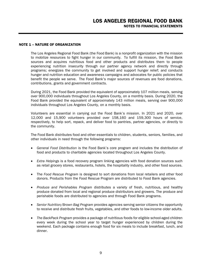#### NOTE 1 – NATURE OF ORGANIZATION

The Los Angeles Regional Food Bank (the Food Bank) is a nonprofit organization with the mission to mobilize resources to fight hunger in our community. To fulfill its mission, the Food Bank sources and acquires nutritious food and other products and distributes them to people experiencing nutrition insecurity through our partner agency network and directly through programs; energizes the community to get involved and support hunger relief; and conducts hunger and nutrition education and awareness campaigns and advocates for public policies that benefit the people we serve. The Food Bank's major sources of revenues are food donations, contributions, grants and government contracts.

During 2021, the Food Bank provided the equivalent of approximately 107 million meals, serving over 900,000 individuals throughout Los Angeles County, on a monthly basis. During 2020, the Food Bank provided the equivalent of approximately 143 million meals, serving over 900,000 individuals throughout Los Angeles County, on a monthly basis.

Volunteers are essential in carrying out the Food Bank's mission. In 2021 and 2020, over 12,000 and 15,900 volunteers provided over 158,160 and 159,300 hours of service, respectively, to help sort, repack, and deliver food to pantries, partner agencies, or directly to the community.

The Food Bank distributes food and other essentials to children, students, seniors, families, and other individuals in need through the following programs:

- *General Food Distribution* is the Food Bank's core program and includes the distribution of food and products to charitable agencies located throughout Los Angeles County.
- *Extra Helpings* is a food recovery program linking agencies with food donation sources such as retail grocery stores, restaurants, hotels, the hospitality industry, and other food sources.
- The *Food Rescue Program* is designed to sort donations from local retailers and other food donors. Products from the Food Rescue Program are distributed to Food Bank agencies.
- *Produce and Perishables Program* distributes a variety of fresh, nutritious, and healthy produce donated from local and regional produce distributors and growers. The produce and perishable foods are distributed to agencies and through Food Bank programs.
- *Senior Nutrition/Brown Bag Program* provides agencies serving senior citizens the opportunity to receive and distribute fresh fruits, vegetables, and other foods to low-income older adults.
- *The BackPack Program* provides a package of nutritious foods for eligible school-aged children every week during the school year to target hunger experienced by children during the weekend. Each package contains enough food for six meals to include breakfast, lunch, and dinner.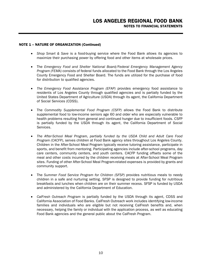#### NOTE 1 – NATURE OF ORGANIZATION (Continued)

- *Shop Smart & Save* is a food-buying service where the Food Bank allows its agencies to maximize their purchasing power by offering food and other items at wholesale prices.
- The *Emergency Food and Shelter National Board/Federal Emergency Management Agency Program (FEMA)* consists of federal funds allocated to the Food Bank through the Los Angeles County Emergency Food and Shelter Board. The funds are utilized for the purchase of food for distribution to qualified agencies.
- *The Emergency Food Assistance Program (EFAP)* provides emergency food assistance to residents of Los Angeles County through qualified agencies and is partially funded by the United States Department of Agriculture (USDA) through its agent, the California Department of Social Services (CDSS).
- The *Commodity Supplemental Food Program (CSFP)* allows the Food Bank to distribute supplemental food to low-income seniors age 60 and older who are especially vulnerable to health problems resulting from general and continued hunger due to insufficient foods. CSFP is partially funded by the USDA through its agent, the California Department of Social Services.
- *The After-School Meal Program, partially funded by the USDA Child and Adult Care Food Program (CACFP)*, serves children at Food Bank agency sites throughout Los Angeles County. Children in the After-School Meal Program typically receive tutoring assistance, participate in sports, and benefit from mentoring. Participating agencies include after-school programs, day care centers, community centers, and youth centers. CACFP funding offsets some of the meal and other costs incurred by the children receiving meals at After-School Meal Program sites. Funding of other After-School Meal Program-related expenses is provided by grants and community support.
- The *Summer Food Service Program for Children (SFSP)* provides nutritious meals to needy children in a safe and nurturing setting. SFSP is designed to provide funding for nutritious breakfasts and lunches when children are on their summer recess. SFSP is funded by USDA and administered by the California Department of Education.
- *CalFresh Outreach Program* is partially funded by the USDA through its agent, CDSS and California Association of Food Banks. CalFresh Outreach work includes identifying low-income families and individuals who are eligible but not receiving CalFresh benefits and, when necessary, helping the family or individual with the application process, as well as educating Food Bank agencies and the general public about the CalFresh Program.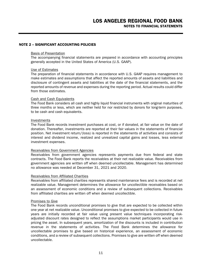NOTES TO FINANCIAL STATEMENTS

#### NOTE 2 – SIGNIFICANT ACCOUNTING POLICIES

#### Basis of Presentation

The accompanying financial statements are prepared in accordance with accounting principles generally accepted in the United States of America (U.S. GAAP).

#### Use of Estimates

The preparation of financial statements in accordance with U.S. GAAP requires management to make estimates and assumptions that affect the reported amounts of assets and liabilities and disclosure of contingent assets and liabilities at the date of the financial statements, and the reported amounts of revenue and expenses during the reporting period. Actual results could differ from those estimates.

#### Cash and Cash Equivalents

The Food Bank considers all cash and highly liquid financial instruments with original maturities of three months or less, which are neither held for nor restricted by donors for long-term purposes, to be cash and cash equivalents.

#### Investments

The Food Bank records investment purchases at cost, or if donated, at fair value on the date of donation. Thereafter, investments are reported at their fair values in the statements of financial position. Net investment return/(loss) is reported in the statements of activities and consists of interest and dividend income, realized and unrealized capital gains and losses, less external investment expenses.

#### Receivables from Government Agencies

Receivables from government agencies represents payments due from federal and state contracts. The Food Bank reports the receivables at their net realizable value. Receivables from government agencies are written off when deemed uncollectable. Management has determined no allowance was needed at December 31, 2021 and 2020.

#### Receivables from Affiliated Charities

Receivables from affiliated charities represents shared maintenance fees and is recorded at net realizable value. Management determines the allowance for uncollectible receivables based on an assessment of economic conditions and a review of subsequent collections. Receivables from affiliated charities are written off when deemed uncollectible.

#### Promises to Give

The Food Bank records unconditional promises to give that are expected to be collected within one year at net realizable value. Unconditional promises to give expected to be collected in future years are initially recorded at fair value using present value techniques incorporating riskadjusted discount rates designed to reflect the assumptions market participants would use in pricing the asset. In subsequent years, amortization of the discounts is included in contribution revenue in the statements of activities. The Food Bank determines the allowance for uncollectable promises to give based on historical experience, an assessment of economic conditions, and a review of subsequent collections. Promises to give are written off when deemed uncollectable.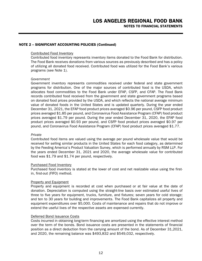#### Contributed Food Inventory

Contributed food inventory represents inventory items donated to the Food Bank for distribution. The Food Bank receives donations from various sources as previously described and has a policy of utilizing all donated food received. Contributed food was utilized for the Food Bank's various programs (see Note 1).

#### *Government*

Government inventory represents commodities received under federal and state government programs for distribution. One of the major sources of contributed food is the USDA, which allocates food commodities to the Food Bank under EFAP, CSFP, and CFAP. The Food Bank records contributed food received from the government and state government programs based on donated food prices provided by the USDA, and which reflects the national average minimum value of donated foods in the United States and is updated quarterly. During the year ended December 31, 2021, the EFAP food product prices averaged \$0.96 per pound, CSFP food product prices averaged \$1.85 per pound, and Coronavirus Food Assistance Program (CFAP) food product prices averaged \$1.79 per pound. During the year ended December 31, 2020, the EFAP food product prices averaged \$0.93 per pound, and CSFP food product prices averaged \$0.97 per pound, and Coronavirus Food Assistance Program (CFAP) food product prices averaged \$1.77.

#### *Private*

Contributed food items are valued using the average per pound wholesale value that would be received for selling similar products in the United States for each food category, as determined by the Feeding America's Product Valuation Survey, which is performed annually by RSM LLP. For the years ended December 31, 2021 and 2020, the average wholesale value for contributed food was \$1.79 and \$1.74 per pound, respectively.

#### Purchased Food Inventory

Purchased food inventory is stated at the lower of cost and net realizable value using the firstin, first-out (FIFO) method.

#### Property and Equipment

Property and equipment is recorded at cost when purchased or at fair value at the date of donation. Depreciation is computed using the straight-line basis over estimated useful lives of three to five years for equipment, trucks, furniture, and fixtures; seven years for cold storage; and ten to 30 years for building and improvements. The Food Bank capitalizes all property and equipment expenditures over \$5,000. Costs of maintenance and repairs that do not improve or extend the useful lives of the respective assets are expensed currently.

#### Deferred Bond Issuance Costs

Costs incurred in obtaining long-term financing are amortized using the effective interest method over the term of the bonds. Bond issuance costs are presented in the statements of financial position as a direct deduction from the carrying amount of the bond. As of December 31,2021, and 2020, the remaining balance was \$493,832 and \$549,032, respectively.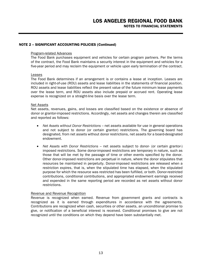#### Program-related Advances

The Food Bank purchases equipment and vehicles for certain program partners. Per the terms of the contract, the Food Bank maintains a security interest in the equipment and vehicles for a five-year period and may reclaim the equipment or vehicle upon early termination of the contract.

#### Leases

The Food Bank determines if an arrangement is or contains a lease at inception. Leases are included in right-of-use (ROU) assets and lease liabilities in the statements of financial position. ROU assets and lease liabilities reflect the present value of the future minimum lease payments over the lease term, and ROU assets also include prepaid or accrued rent. Operating lease expense is recognized on a straight-line basis over the lease term.

#### Net Assets

Net assets, revenues, gains, and losses are classified based on the existence or absence of donor or grantor-imposed restrictions. Accordingly, net assets and changes therein are classified and reported as follows:

- *Net Assets without Donor Restrictions* net assets available for use in general operations and not subject to donor (or certain grantor) restrictions. The governing board has designated, from net assets without donor restrictions, net assets for a board-designated endowment.
- *Net Assets with Donor Restrictions* net assets subject to donor- (or certain grantor-) imposed restrictions. Some donor-imposed restrictions are temporary in nature, such as those that will be met by the passage of time or other events specified by the donor. Other donor-imposed restrictions are perpetual in nature, where the donor stipulates that resources be maintained in perpetuity. Donor-imposed restrictions are released when a restriction expires, that is, when the stipulated time has elapsed, when the stipulated purpose for which the resource was restricted has been fulfilled, or both. Donor-restricted contributions, conditional contributions, and appropriated endowment earnings received and expended in the same reporting period are recorded as net assets without donor restrictions.

#### Revenue and Revenue Recognition

Revenue is recognized when earned. Revenue from government grants and contracts is recognized as it is earned through expenditures in accordance with the agreements. Contributions are recognized when cash, securities or other assets, an unconditional promise to give, or notification of a beneficial interest is received. Conditional promises to give are not recognized until the conditions on which they depend have been substantially met.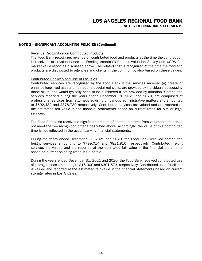#### Revenue Recognition on Contributed Products

The Food Bank recognizes revenue on contributed food and products at the time the contribution is received, at a value based on Feeding America's Product Valuation Survey and USDA fair market value report as discussed above. The related cost is recognized at the time the food and products are distributed to agencies and clients in the community, also based on these values.

#### Contributed Services and Use of Facilities

Contributed services are recognized by the Food Bank if the services received (a) create or enhance long-lived assets or (b) require specialized skills, are provided by individuals possessing those skills, and would typically need to be purchased if not provided by donation. Contributed services received during the years ended December 31, 2021 and 2020, are comprised of professional services from attorneys advising on various administrative matters and amounted to \$602,482 and \$878,739 respectively. Contributed services are valued and are reported at the estimated fair value in the financial statements based on current rates for similar legal services.

The Food Bank also receives a significant amount of contributed time from volunteers that does not meet the two recognition criteria described above. Accordingly, the value of this contributed time is not reflected in the accompanying financial statements.

During the years ended December 31, 2021 and 2020, the Food Bank received contributed freight services amounting to \$799,014 and \$821,910, respectively. Contributed freight services are valued and are reported at the estimated fair value in the financial statements based on current shipping rates in California.

During the years ended December 31, 2021 and 2020, the Food Bank received contributed use of storage space amounting to \$16,000 and \$301,573, respectively. Contributed use of facilities is valued and reported at the estimated fair value in the financial statements based on current storage rates in Los Angeles.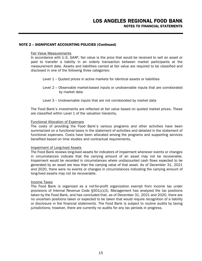#### Fair Value Measurements

In accordance with U.S. GAAP, fair value is the price that would be received to sell an asset or paid to transfer a liability in an orderly transaction between market participants at the measurement date. Assets and liabilities carried at fair value are required to be classified and disclosed in one of the following three categories:

- Level 1 Quoted prices in active markets for identical assets or liabilities
- Level 2 Observable market-based inputs or unobservable inputs that are corroborated by market data
- Level 3 Unobservable inputs that are not corroborated by market data

The Food Bank's investments are reflected at fair value based on quoted market prices. These are classified within Level 1 of the valuation hierarchy.

#### Functional Allocation of Expenses

The costs of providing the Food Bank's various programs and other activities have been summarized on a functional basis in the statement of activities and detailed in the statement of functional expenses. Costs have been allocated among the programs and supporting services benefited based on time studies and contractual requirements.

#### Impairment of Long-lived Assets

The Food Bank reviews long-lived assets for indicators of impairment whenever events or changes in circumstances indicate that the carrying amount of an asset may not be recoverable. Impairment would be recorded in circumstances where undiscounted cash flows expected to be generated by an asset are less than the carrying value of that asset. As of December 31, 2021 and 2020, there were no events or changes in circumstances indicating the carrying amount of long-lived assets may not be recoverable.

#### Income Taxes

The Food Bank is organized as a not-for-profit organization exempt from income tax under provisions of Internal Revenue Code §501(c)(3). Management has analyzed the tax positions taken by the Food Bank, and has concluded that, as of December 31, 2021 and 2020, there are no uncertain positions taken or expected to be taken that would require recognition of a liability or disclosure in the financial statements. The Food Bank is subject to routine audits by taxing jurisdictions; however, there are currently no audits for any tax periods in progress.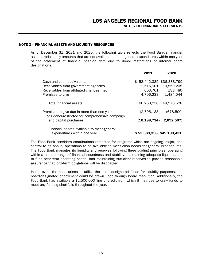NOTES TO FINANCIAL STATEMENTS

#### NOTE 3 – FINANCIAL ASSETS AND LIQUIDITY RESOURCES

As of December 31, 2021 and 2020, the following table reflects the Food Bank's financial assets, reduced by amounts that are not available to meet general expenditures within one year of the statement of financial position date due to donor restrictions or internal board designations.

|                                                                                                                                     | 2021                                                           | 2020                               |
|-------------------------------------------------------------------------------------------------------------------------------------|----------------------------------------------------------------|------------------------------------|
| Cash and cash equivalents<br>Receivables from government agencies<br>Receivables from affiliated charities, net<br>Promises to give | \$58,442,335 \$36,388,799<br>2,515,901<br>603,761<br>4,706,233 | 10,559,205<br>138,480<br>1,484,044 |
| Total financial assets                                                                                                              | 66,268,230                                                     | 48,570,528                         |
| Promises to give due in more than one year<br>Funds donor-restricted for comprehensive campaign                                     | (2,705,138)                                                    | (678, 500)                         |
| and capital purchases                                                                                                               |                                                                | $(10, 199, 734)$ $(2, 692, 597)$   |
| Financial assets available to meet general<br>expenditures within one year                                                          |                                                                | 53,363,358 \$45,199,431            |

The Food Bank considers contributions restricted for programs which are ongoing, major, and central to its annual operations to be available to meet cash needs for general expenditures. The Food Bank manages its liquidity and reserves following three guiding principles: operating within a prudent range of financial soundness and stability, maintaining adequate liquid assets to fund near-term operating needs, and maintaining sufficient reserves to provide reasonable assurance that long-term obligations will be discharged.

In the event the need arises to utilize the board-designated funds for liquidity purposes, the board-designated endowment could be drawn upon through board resolution. Additionally, the Food Bank has available a \$2,500,000 line of credit from which it may use to draw funds to meet any funding shortfalls throughout the year.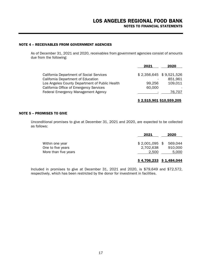NOTES TO FINANCIAL STATEMENTS

#### NOTE 4 – RECEIVABLES FROM GOVERNMENT AGENCIES

As of December 31, 2021 and 2020, receivables from government agencies consist of amounts due from the following:

|                                                 | 2021   | 2020                      |
|-------------------------------------------------|--------|---------------------------|
| <b>California Department of Social Services</b> |        | $$2,356,645$ $$9,521,526$ |
| <b>California Department of Education</b>       |        | 851,961                   |
| Los Angeles County Department of Public Health  | 99.256 | 109,011                   |
| California Office of Emergency Services         | 60,000 |                           |
| Federal Emergency Management Agency             |        | 76.707                    |

#### \$ 2,515,901 \$10,559,205

#### NOTE 5 – PROMISES TO GIVE

Unconditional promises to give at December 31, 2021 and 2020, are expected to be collected as follows:

|                      | 2021            | 2020                      |
|----------------------|-----------------|---------------------------|
| Within one year      | $$2,001,095$ \$ | 569,044                   |
| One to five years    | 2,702,638       | 910,000                   |
| More than five years | 2.500           | 5,000                     |
|                      |                 | $$4,706,233$ $$1,484,044$ |

Included in promises to give at December 31, 2021 and 2020, is \$79,649 and \$72,572, respectively, which has been restricted by the donor for investment in facilities.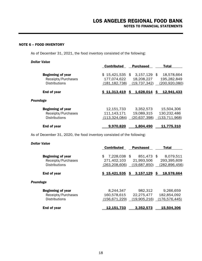#### NOTE 6 – FOOD INVENTORY

As of December 31, 2021, the food inventory consisted of the following:

#### *Dollar Value*

|                                                                        | <b>Contributed</b>                                 | <b>Purchased</b>                               | Total                                        |
|------------------------------------------------------------------------|----------------------------------------------------|------------------------------------------------|----------------------------------------------|
| <b>Beginning of year</b><br>Receipts/Purchases<br><b>Distributions</b> | $$15,421,535$ \$<br>177,074,622<br>(181, 182, 738) | $3,157,129$ \$<br>18,208,227<br>(19, 737, 342) | 18,578,664<br>195,282,849<br>(200, 920, 080) |
| End of year                                                            | $$11,313,419$ $$1,628,014$                         |                                                | 12,941,433<br>s                              |
| Poundage                                                               |                                                    |                                                |                                              |
| <b>Beginning of year</b><br>Receipts/Purchases<br><b>Distributions</b> | 12,151,733<br>111,143,171<br>(113, 324, 084)       | 3,352,573<br>19,089,315<br>(20, 637, 398)      | 15,504,306<br>130,232,486<br>(133, 711, 968) |
| End of year                                                            | 9,970,820                                          | 1,804,490                                      | 11,775,310                                   |

As of December 31, 2020, the food inventory consisted of the following:

#### *Dollar Value*

|                          | <b>Contributed</b> | <b>Purchased</b> | <b>Total</b>    |
|--------------------------|--------------------|------------------|-----------------|
| <b>Beginning of year</b> | 7,228,038 \$<br>\$ | 851,473 \$       | 8,079,511       |
| Receipts/Purchases       | 271,402,103        | 21,993,506       | 293,395,609     |
| <b>Distributions</b>     | (263, 208, 606)    | (19,687,850)     | (282, 896, 456) |
|                          |                    |                  |                 |
| <b>End of year</b>       | \$15,421,535       | 3,157,129<br>Ş.  | 18,578,664<br>s |
| Poundage                 |                    |                  |                 |
| <b>Beginning of year</b> | 8,244,347          | 982,312          | 9,266,659       |
| Receipts/Purchases       | 160,578,615        | 22,275,477       | 182,854,092     |
| <b>Distributions</b>     | (156, 671, 229)    | (19,905,216)     | (176, 576, 445) |
| End of year              | 12,151,733         | 3,352,573        | 15,504,306      |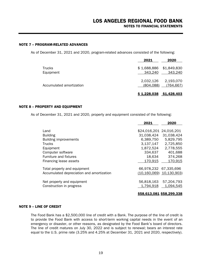#### NOTE 7 – PROGRAM-RELATED ADVANCES

As of December 31, 2021 and 2020, program-related advances consisted of the following:

|                          | 2021                    | 2020               |
|--------------------------|-------------------------|--------------------|
| <b>Trucks</b>            | \$1,688,886 \$1,849,830 |                    |
| Equipment                | 343,240                 | 343,240            |
|                          | 2,032,126               | 2,193,070          |
| Accumulated amortization | (804, 088)              | (764, 667)         |
|                          | <u>\$1,228,038</u>      | <u>\$1,428,403</u> |

#### NOTE 8 – PROPERTY AND EQUIPMENT

As of December 31, 2021 and 2020, property and equipment consisted of the following:

|                                                                                                                                                                       | 2021                                                                                                         | 2020                                                                               |
|-----------------------------------------------------------------------------------------------------------------------------------------------------------------------|--------------------------------------------------------------------------------------------------------------|------------------------------------------------------------------------------------|
| Land<br><b>Building</b><br><b>Building improvements</b><br><b>Trucks</b><br>Equipment<br>Computer software<br><b>Furniture and fixtures</b><br>Financing lease assets | \$24,016,201 24,016,201<br>31,038,424<br>6,389,750<br>3,137,147<br>1,872,524<br>334,637<br>18,634<br>170,915 | 31,038,424<br>5,829,795<br>2,725,850<br>2,778,555<br>401,688<br>374,268<br>170,915 |
| Total property and equipment<br>Accumulated depreciation and amortization<br>Net property and equipment<br>Construction in progress                                   | 66,978,232 67,335,696<br>$(10, 160, 069)$ 10, 130, 903)<br>56,818,163<br>1,794,918                           | 57,204,793<br>1,094,545                                                            |
|                                                                                                                                                                       |                                                                                                              |                                                                                    |

#### \$58,613,081 \$58,299,338

#### NOTE 9 – LINE OF CREDIT

The Food Bank has a \$2,500,000 line of credit with a Bank. The purpose of the line of credit is to provide the Food Bank with access to short-term working capital needs in the event of an emergency or disaster, or other reasons, as designated by the Food Bank's board of directors. The line of credit matures on July 30, 2022 and is subject to renewal; bears an interest rate equal to the U.S. prime rate (3.25% and 4.25% at December 31, 2021 and 2020, respectively).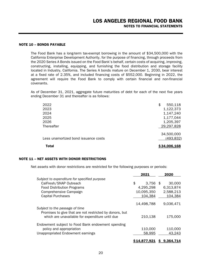### NOTES TO FINANCIAL STATEMENTS

#### NOTE 10 – BONDS PAYABLE

The Food Bank has a long-term tax-exempt borrowing in the amount of \$34,500,000 with the California Enterprise Development Authority, for the purpose of financing, through proceeds from the 2020 Series A Bonds issued on the Food Bank's behalf, certain costs of acquiring, improving, constructing, installing, equipping, and furnishing the food distribution and storage facility located in Industry, California. The Series A bonds mature on December 1, 2030, bear interest at a fixed rate of 2.35%, and included financing costs of \$552,000. Beginning in 2022, the agreement will require the Food Bank to comply with certain financial and non-financial covenants.

As of December 31, 2021, aggregate future maturities of debt for each of the next five years ending December 31 and thereafter is as follows:

| Total                                | \$34,006,168             |
|--------------------------------------|--------------------------|
| Less unamortized bond issuance costs | 34,500,000<br>(493, 832) |
| <b>Thereafter</b>                    | 29,297,828               |
| 2026                                 | 1,205,397                |
| 2025                                 | 1,177,044                |
| 2024                                 | 1,147,240                |
| 2023                                 | 1,122,373                |
| 2022                                 | \$<br>550,118            |

#### NOTE 11 – NET ASSETS WITH DONOR RESTRICTIONS

Net assets with donor restrictions are restricted for the following purposes or periods:

|                                                                                                            | 2021             | 2020         |
|------------------------------------------------------------------------------------------------------------|------------------|--------------|
| Subject to expenditure for specified purpose                                                               |                  |              |
| CalFresh/SNAP Outreach                                                                                     | \$<br>$3,756$ \$ | 30,000       |
| <b>Food Distribution Programs</b>                                                                          | 4,295,298        | 6,313,874    |
| Comprehensive Campaign                                                                                     | 10,095,350       | 2,588,213    |
| <b>Capital Purchases</b>                                                                                   | 104,384          | 104,384      |
| Subject to the passage of time                                                                             | 14,498,788       | 9,036,471    |
| Promises to give that are not restricted by donors, but<br>which are unavailable for expenditure until due | 210,138          | 175,000      |
| Endowment subject to Food Bank endowment spending<br>policy and appropriation                              | 110,000          | 110,000      |
| Unappropriated Endowment earnings                                                                          | 58,995           | 43,243       |
|                                                                                                            | \$14.877.921     | \$ 9.364.714 |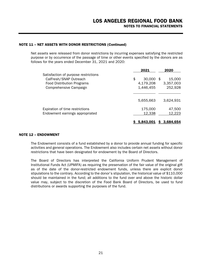#### NOTE 11 – NET ASSETS WITH DONOR RESTRICTIONS (Continued)

Net assets were released from donor restrictions by incurring expenses satisfying the restricted purpose or by occurrence of the passage of time or other events specified by the donors are as follows for the years ended December 31, 2021 and 2020:

|                                      | 2021              | 2020            |
|--------------------------------------|-------------------|-----------------|
| Satisfaction of purpose restrictions |                   |                 |
| CalFresh/SNAP Outreach               | \$<br>$30,000$ \$ | 15,000          |
| <b>Food Distribution Programs</b>    | 4,179,208         | 3,357,003       |
| Comprehensive Campaign               | 1,446,455         | 252,928         |
|                                      |                   |                 |
|                                      | 5,655,663         | 3,624,931       |
| Expiration of time restrictions      | 175,000           | 47,500          |
| Endowment earnings appropriated      | 12,338            | 12,223          |
|                                      | 5.843.001         | 3.684.654<br>S. |

#### NOTE 12 – ENDOWMENT

The Endowment consists of a fund established by a donor to provide annual funding for specific activities and general operations. The Endowment also includes certain net assets without donor restrictions that have been designated for endowment by the Board of Directors.

The Board of Directors has interpreted the California Uniform Prudent Management of Institutional Funds Act (UPMIFA) as requiring the preservation of the fair value of the original gift as of the date of the donor-restricted endowment funds, unless there are explicit donor stipulations to the contrary. According to the donor's stipulation, the historical value of \$110,000 should be maintained in the fund; all additions to the fund over and above the historic dollar value may, subject to the discretion of the Food Bank Board of Directors, be used to fund distributions or awards supporting the purposes of the fund.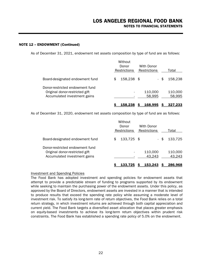#### NOTE 12 – ENDOWMENT (Continued)

As of December 31, 2021, endowment net assets composition by type of fund are as follows:

|                                                                                                   | Without<br>Donor<br>Restrictions | With Donor<br>Restrictions | Total             |
|---------------------------------------------------------------------------------------------------|----------------------------------|----------------------------|-------------------|
| Board-designated endowment fund                                                                   | 158,238 \$<br>\$                 | - \$                       | 158,238           |
| Donor-restricted endowment fund<br>Original donor-restricted gift<br>Accumulated investment gains | -                                | 110,000<br>58,995          | 110,000<br>58,995 |
|                                                                                                   | 158.238                          | 168,995                    | 327.233           |

As of December 31, 2020, endowment net assets composition by type of fund are as follows:

|                                                                                                   | Without<br>Donor<br>Restrictions | With Donor<br>Restrictions |      | Total             |
|---------------------------------------------------------------------------------------------------|----------------------------------|----------------------------|------|-------------------|
| Board-designated endowment fund                                                                   | 133,725 \$<br>\$                 |                            | - \$ | 133,725           |
| Donor-restricted endowment fund<br>Original donor-restricted gift<br>Accumulated investment gains |                                  | 110,000<br>-<br>43,243     |      | 110,000<br>43,243 |
|                                                                                                   | 133.725                          | <u>153,243</u>             |      | <u>286,968</u>    |

#### Investment and Spending Policies

The Food Bank has adopted investment and spending policies for endowment assets that attempt to provide a predictable stream of funding to programs supported by its endowment while seeking to maintain the purchasing power of the endowment assets. Under this policy, as approved by the Board of Directors, endowment assets are invested in a manner that is intended to produce results that exceed the spending rate policy while assuming a moderate level of investment risk. To satisfy its long-term rate of return objectives, the Food Bank relies on a total return strategy, in which investment returns are achieved through both capital appreciation and current yield. The Food Bank targets a diversified asset allocation that places greater emphasis on equity-based investments to achieve its long-term return objectives within prudent risk constraints. The Food Bank has established a spending rate policy of 5.0% on the endowment.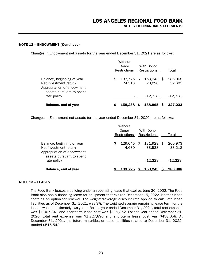#### NOTE 12 – ENDOWMENT (Continued)

Changes in Endowment net assets for the year ended December 31, 2021 are as follows:

| <b>Balance, end of year</b>                                                     | <u>158,238</u>                   | 168,995                    | 327.233  |
|---------------------------------------------------------------------------------|----------------------------------|----------------------------|----------|
| rate policy                                                                     |                                  | (12.338)                   | (12,338) |
| Net investment return<br>Appropriation of endowment<br>assets pursuant to spend | 24,513                           | 28,090                     | 52,603   |
| Balance, beginning of year                                                      | \$<br>$133,725$ \$               | 153,243 \$                 | 286,968  |
|                                                                                 | Without<br>Donor<br>Restrictions | With Donor<br>Restrictions | Total    |

Changes in Endowment net assets for the year ended December 31, 2020 are as follows:

|                                                                                                               | Without<br>Donor<br>Restrictions | With Donor<br>Restrictions | Total             |
|---------------------------------------------------------------------------------------------------------------|----------------------------------|----------------------------|-------------------|
| Balance, beginning of year<br>Net investment return<br>Appropriation of endowment<br>assets pursuant to spend | \$<br>129,045<br>4,680           | \$<br>131,928 \$<br>33,538 | 260,973<br>38,218 |
| rate policy                                                                                                   |                                  | (12.223)                   | (12,223)          |
| <b>Balance, end of year</b>                                                                                   | 133.725                          | 153.243                    | 286.968           |

#### NOTE 13 – LEASES

The Food Bank leases a building under an operating lease that expires June 30, 2022. The Food Bank also has a financing lease for equipment that expires December 15, 2022. Neither lease contains an option for renewal. The weighted-average discount rate applied to calculate lease liabilities as of December 31, 2021, was 3%. The weighted-average remaining lease term for the leases was approximately two years. For the year ended December 31, 2021, total rent expense was \$1,007,341 and short-term lease cost was \$119,352. For the year ended December 31, 2020, total rent expense was \$1,227,896 and short-term lease cost was \$458,658. At December 31, 2021, the future maturities of lease liabilities related to December 31, 2022, totaled \$515,542.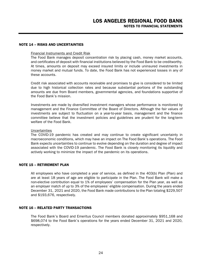#### NOTE 14 – RISKS AND UNCERTAINTIES

#### Financial Instruments and Credit Risk

The Food Bank manages deposit concentration risk by placing cash, money market accounts, and certificates of deposit with financial institutions believed by the Food Bank to be creditworthy. At times, amounts on deposit may exceed insured limits or include uninsured investments in money market and mutual funds. To date, the Food Bank has not experienced losses in any of these accounts.

Credit risk associated with accounts receivable and promises to give is considered to be limited due to high historical collection rates and because substantial portions of the outstanding amounts are due from Board members, governmental agencies, and foundations supportive of the Food Bank's mission.

Investments are made by diversified investment managers whose performance is monitored by management and the Finance Committee of the Board of Directors. Although the fair values of investments are subject to fluctuation on a year-to-year basis, management and the finance committee believe that the investment policies and guidelines are prudent for the long-term welfare of the Food Bank.

#### **Uncertainties**

The COVID-19 pandemic has created and may continue to create significant uncertainty in macroeconomic conditions, which may have an impact on The Food Bank's operations. The Food Bank expects uncertainties to continue to evolve depending on the duration and degree of impact associated with the COVID-19 pandemic. The Food Bank is closely monitoring its liquidity and actively working to minimize the impact of the pandemic on its operations.

#### NOTE 15 – RETIREMENT PLAN

All employees who have completed a year of service, as defined in the 403(b) Plan (Plan) and are at least 18 years of age are eligible to participate in the Plan. The Food Bank will make a non-elective contribution equal to 1% of employees' compensation for the Plan year, as well as an employer match of up to 3% of the employees' eligible compensation. During the years ended December 31, 2021 and 2020, the Food Bank made contributions to the Plan totaling \$229,507 and \$193,676, respectively.

#### NOTE 16 – RELATED PARTY TRANSACTIONS

The Food Bank's Board and Emeritus Council members donated approximately \$951,168 and \$698,074 to the Food Bank's operations for the years ended December 31, 2021 and 2020, respectively.